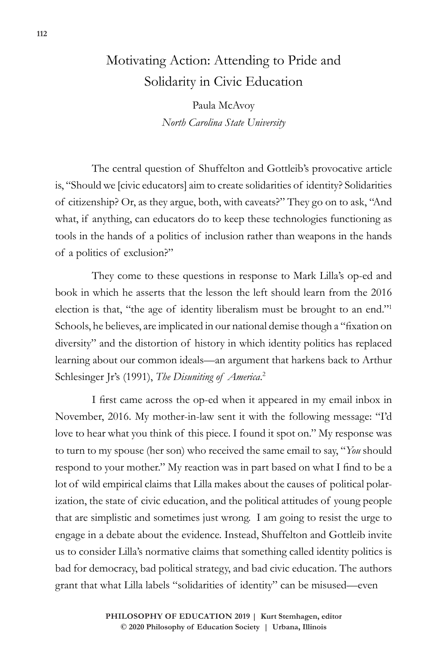## Motivating Action: Attending to Pride and Solidarity in Civic Education

Paula McAvoy *North Carolina State University*

The central question of Shuffelton and Gottleib's provocative article is, "Should we [civic educators] aim to create solidarities of identity? Solidarities of citizenship? Or, as they argue, both, with caveats?" They go on to ask, "And what, if anything, can educators do to keep these technologies functioning as tools in the hands of a politics of inclusion rather than weapons in the hands of a politics of exclusion?"

They come to these questions in response to Mark Lilla's op-ed and book in which he asserts that the lesson the left should learn from the 2016 election is that, "the age of identity liberalism must be brought to an end."1 Schools, he believes, are implicated in our national demise though a "fixation on diversity" and the distortion of history in which identity politics has replaced learning about our common ideals—an argument that harkens back to Arthur Schlesinger Jr's (1991), *The Disuniting of America*.<sup>2</sup>

I first came across the op-ed when it appeared in my email inbox in November, 2016. My mother-in-law sent it with the following message: "I'd love to hear what you think of this piece. I found it spot on." My response was to turn to my spouse (her son) who received the same email to say, "*You* should respond to your mother." My reaction was in part based on what I find to be a lot of wild empirical claims that Lilla makes about the causes of political polarization, the state of civic education, and the political attitudes of young people that are simplistic and sometimes just wrong. I am going to resist the urge to engage in a debate about the evidence. Instead, Shuffelton and Gottleib invite us to consider Lilla's normative claims that something called identity politics is bad for democracy, bad political strategy, and bad civic education. The authors grant that what Lilla labels "solidarities of identity" can be misused—even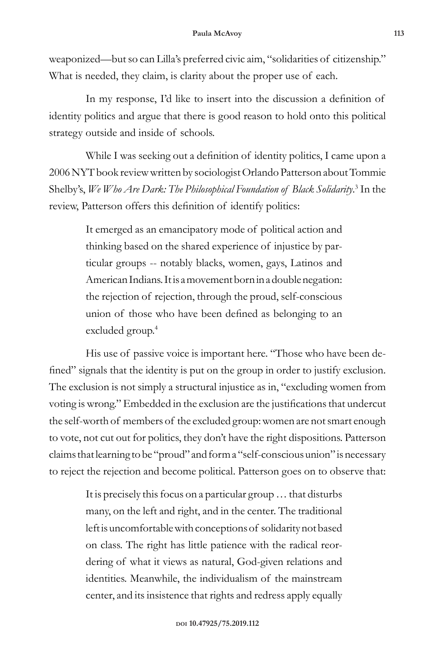weaponized—but so can Lilla's preferred civic aim, "solidarities of citizenship." What is needed, they claim, is clarity about the proper use of each.

In my response, I'd like to insert into the discussion a definition of identity politics and argue that there is good reason to hold onto this political strategy outside and inside of schools.

While I was seeking out a definition of identity politics, I came upon a 2006 NYT book review written by sociologistOrlando Patterson about Tommie Shelby's, *We Who Are Dark: The Philosophical Foundation of Black Solidarity*.<sup>3</sup> In the review, Patterson offers this definition of identify politics:

> It emerged as an emancipatory mode of political action and thinking based on the shared experience of injustice by particular groups -- notably blacks, women, gays, Latinos and American Indians. It is a movement born in a double negation: the rejection of rejection, through the proud, self-conscious union of those who have been defined as belonging to an excluded group.<sup>4</sup>

His use of passive voice is important here. "Those who have been defined" signals that the identity is put on the group in order to justify exclusion. The exclusion is not simply a structural injustice as in, "excluding women from voting is wrong." Embedded in the exclusion are the justifications that undercut the self-worth of members of the excluded group: women are not smart enough to vote, not cut out for politics, they don't have the right dispositions. Patterson claims that learning to be "proud" and form a "self-conscious union" is necessary to reject the rejection and become political. Patterson goes on to observe that:

> It is precisely this focus on a particular group … that disturbs many, on the left and right, and in the center. The traditional left is uncomfortable with conceptions of solidarity not based on class. The right has little patience with the radical reordering of what it views as natural, God-given relations and identities. Meanwhile, the individualism of the mainstream center, and its insistence that rights and redress apply equally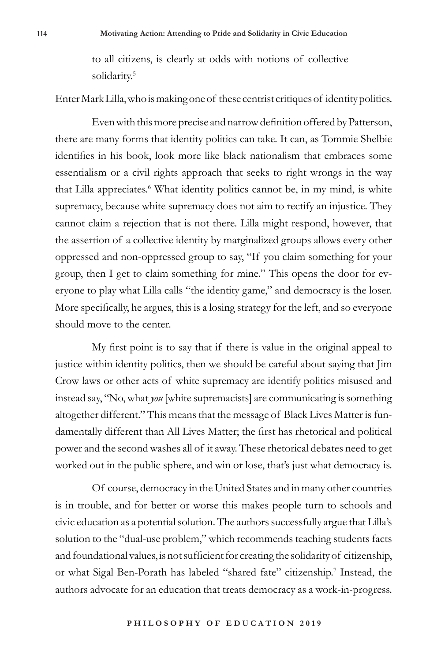to all citizens, is clearly at odds with notions of collective solidarity.<sup>5</sup>

Enter Mark Lilla, who is making one of these centrist critiques of identity politics.

Even with this more precise and narrow definition offered by Patterson, there are many forms that identity politics can take. It can, as Tommie Shelbie identifies in his book, look more like black nationalism that embraces some essentialism or a civil rights approach that seeks to right wrongs in the way that Lilla appreciates.<sup>6</sup> What identity politics cannot be, in my mind, is white supremacy, because white supremacy does not aim to rectify an injustice. They cannot claim a rejection that is not there. Lilla might respond, however, that the assertion of a collective identity by marginalized groups allows every other oppressed and non-oppressed group to say, "If you claim something for your group, then I get to claim something for mine." This opens the door for everyone to play what Lilla calls "the identity game," and democracy is the loser. More specifically, he argues, this is a losing strategy for the left, and so everyone should move to the center.

My first point is to say that if there is value in the original appeal to justice within identity politics, then we should be careful about saying that Jim Crow laws or other acts of white supremacy are identify politics misused and instead say, "No, what *you* [white supremacists] are communicating is something altogether different." This means that the message of Black Lives Matter is fundamentally different than All Lives Matter; the first has rhetorical and political power and the second washes all of it away. These rhetorical debates need to get worked out in the public sphere, and win or lose, that's just what democracy is.

Of course, democracy in the United States and in many other countries is in trouble, and for better or worse this makes people turn to schools and civic education as a potential solution. The authors successfully argue that Lilla's solution to the "dual-use problem," which recommends teaching students facts and foundational values, is not sufficient for creating the solidarity of citizenship, or what Sigal Ben-Porath has labeled "shared fate" citizenship.<sup>7</sup> Instead, the authors advocate for an education that treats democracy as a work-in-progress.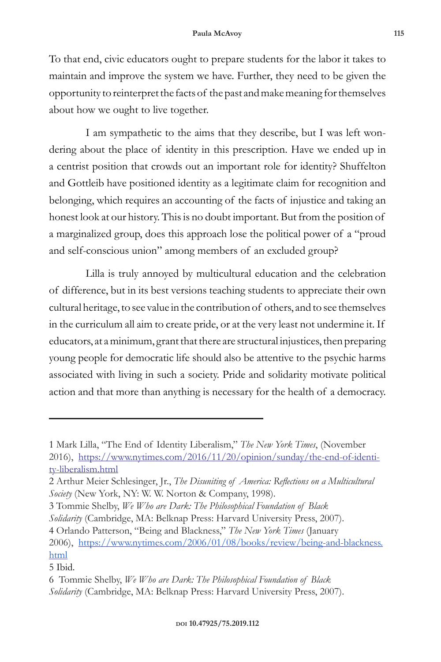To that end, civic educators ought to prepare students for the labor it takes to maintain and improve the system we have. Further, they need to be given the opportunity to reinterpret the facts of the past and make meaning for themselves about how we ought to live together.

I am sympathetic to the aims that they describe, but I was left wondering about the place of identity in this prescription. Have we ended up in a centrist position that crowds out an important role for identity? Shuffelton and Gottleib have positioned identity as a legitimate claim for recognition and belonging, which requires an accounting of the facts of injustice and taking an honest look at our history. This is no doubt important. But from the position of a marginalized group, does this approach lose the political power of a "proud and self-conscious union" among members of an excluded group?

Lilla is truly annoyed by multicultural education and the celebration of difference, but in its best versions teaching students to appreciate their own cultural heritage, to see value in the contribution of others, and to see themselves in the curriculum all aim to create pride, or at the very least not undermine it. If educators, at a minimum, grant that there are structural injustices, then preparing young people for democratic life should also be attentive to the psychic harms associated with living in such a society. Pride and solidarity motivate political action and that more than anything is necessary for the health of a democracy.

3 Tommie Shelby, *We Who are Dark: The Philosophical Foundation of Black Solidarity* (Cambridge, MA: Belknap Press: Harvard University Press, 2007). 4 Orlando Patterson, "Being and Blackness," *The New York Times* (January 2006), https://www.nytimes.com/2006/01/08/books/review/being-and-blackness. html

5 Ibid.

<sup>1</sup> Mark Lilla, "The End of Identity Liberalism," *The New York Times*, (November 2016), https://www.nytimes.com/2016/11/20/opinion/sunday/the-end-of-identity-liberalism.html

<sup>2</sup> Arthur Meier Schlesinger, Jr., *The Disuniting of America: Reflections on a Multicultural Society* (New York, NY: W. W. Norton & Company, 1998).

<sup>6</sup> Tommie Shelby, *We Who are Dark: The Philosophical Foundation of Black Solidarity* (Cambridge, MA: Belknap Press: Harvard University Press, 2007).